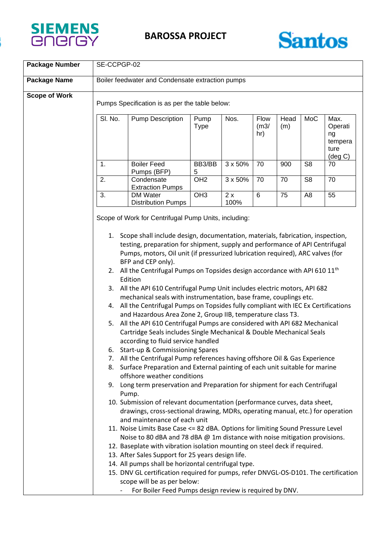



| <b>Package Number</b> | SE-CCPGP-02                                                                                                                                                                                                                                                                                                                                                                                                                                                                                                                                                                                                                                                                                                                                                                                                                                                                                                                                                                                                                                                                                                                                                                                                                                                                               |                                                                                                                                                                                                                                                                                                                                                                                                                                                                                                                                                                                                                                                            |                     |            |                     |             |                |                                                               |  |
|-----------------------|-------------------------------------------------------------------------------------------------------------------------------------------------------------------------------------------------------------------------------------------------------------------------------------------------------------------------------------------------------------------------------------------------------------------------------------------------------------------------------------------------------------------------------------------------------------------------------------------------------------------------------------------------------------------------------------------------------------------------------------------------------------------------------------------------------------------------------------------------------------------------------------------------------------------------------------------------------------------------------------------------------------------------------------------------------------------------------------------------------------------------------------------------------------------------------------------------------------------------------------------------------------------------------------------|------------------------------------------------------------------------------------------------------------------------------------------------------------------------------------------------------------------------------------------------------------------------------------------------------------------------------------------------------------------------------------------------------------------------------------------------------------------------------------------------------------------------------------------------------------------------------------------------------------------------------------------------------------|---------------------|------------|---------------------|-------------|----------------|---------------------------------------------------------------|--|
| <b>Package Name</b>   | Boiler feedwater and Condensate extraction pumps                                                                                                                                                                                                                                                                                                                                                                                                                                                                                                                                                                                                                                                                                                                                                                                                                                                                                                                                                                                                                                                                                                                                                                                                                                          |                                                                                                                                                                                                                                                                                                                                                                                                                                                                                                                                                                                                                                                            |                     |            |                     |             |                |                                                               |  |
| <b>Scope of Work</b>  |                                                                                                                                                                                                                                                                                                                                                                                                                                                                                                                                                                                                                                                                                                                                                                                                                                                                                                                                                                                                                                                                                                                                                                                                                                                                                           | Pumps Specification is as per the table below:                                                                                                                                                                                                                                                                                                                                                                                                                                                                                                                                                                                                             |                     |            |                     |             |                |                                                               |  |
|                       | SI. No.                                                                                                                                                                                                                                                                                                                                                                                                                                                                                                                                                                                                                                                                                                                                                                                                                                                                                                                                                                                                                                                                                                                                                                                                                                                                                   | <b>Pump Description</b>                                                                                                                                                                                                                                                                                                                                                                                                                                                                                                                                                                                                                                    | Pump<br><b>Type</b> | Nos.       | Flow<br>(m3/<br>hr) | Head<br>(m) | MoC            | Max.<br>Operati<br>ng<br>tempera<br>ture<br>$(\text{deg } C)$ |  |
|                       | 1.                                                                                                                                                                                                                                                                                                                                                                                                                                                                                                                                                                                                                                                                                                                                                                                                                                                                                                                                                                                                                                                                                                                                                                                                                                                                                        | <b>Boiler Feed</b><br>Pumps (BFP)                                                                                                                                                                                                                                                                                                                                                                                                                                                                                                                                                                                                                          | BB3/BB<br>5         | 3 x 50%    | 70                  | 900         | S <sub>8</sub> | 70                                                            |  |
|                       | 2.                                                                                                                                                                                                                                                                                                                                                                                                                                                                                                                                                                                                                                                                                                                                                                                                                                                                                                                                                                                                                                                                                                                                                                                                                                                                                        | Condensate<br><b>Extraction Pumps</b>                                                                                                                                                                                                                                                                                                                                                                                                                                                                                                                                                                                                                      | OH <sub>2</sub>     | 3 x 50%    | 70                  | 70          | S <sub>8</sub> | 70                                                            |  |
|                       | 3.                                                                                                                                                                                                                                                                                                                                                                                                                                                                                                                                                                                                                                                                                                                                                                                                                                                                                                                                                                                                                                                                                                                                                                                                                                                                                        | DM Water<br><b>Distribution Pumps</b>                                                                                                                                                                                                                                                                                                                                                                                                                                                                                                                                                                                                                      | OH <sub>3</sub>     | 2x<br>100% | 6                   | 75          | A <sub>8</sub> | 55                                                            |  |
|                       | Scope of Work for Centrifugal Pump Units, including:                                                                                                                                                                                                                                                                                                                                                                                                                                                                                                                                                                                                                                                                                                                                                                                                                                                                                                                                                                                                                                                                                                                                                                                                                                      |                                                                                                                                                                                                                                                                                                                                                                                                                                                                                                                                                                                                                                                            |                     |            |                     |             |                |                                                               |  |
|                       | 1. Scope shall include design, documentation, materials, fabrication, inspection,<br>testing, preparation for shipment, supply and performance of API Centrifugal<br>Pumps, motors, Oil unit (if pressurized lubrication required), ARC valves (for<br>BFP and CEP only).<br>2. All the Centrifugal Pumps on Topsides design accordance with API 610 $11th$<br>Edition<br>3. All the API 610 Centrifugal Pump Unit includes electric motors, API 682<br>mechanical seals with instrumentation, base frame, couplings etc.<br>4. All the Centrifugal Pumps on Topsides fully compliant with IEC Ex Certifications<br>and Hazardous Area Zone 2, Group IIB, temperature class T3.<br>All the API 610 Centrifugal Pumps are considered with API 682 Mechanical<br>5.<br>Cartridge Seals includes Single Mechanical & Double Mechanical Seals<br>according to fluid service handled<br>6. Start-up & Commissioning Spares<br>7. All the Centrifugal Pump references having offshore Oil & Gas Experience<br>8. Surface Preparation and External painting of each unit suitable for marine<br>offshore weather conditions<br>9. Long term preservation and Preparation for shipment for each Centrifugal<br>Pump.<br>10. Submission of relevant documentation (performance curves, data sheet, |                                                                                                                                                                                                                                                                                                                                                                                                                                                                                                                                                                                                                                                            |                     |            |                     |             |                |                                                               |  |
|                       |                                                                                                                                                                                                                                                                                                                                                                                                                                                                                                                                                                                                                                                                                                                                                                                                                                                                                                                                                                                                                                                                                                                                                                                                                                                                                           | drawings, cross-sectional drawing, MDRs, operating manual, etc.) for operation<br>and maintenance of each unit<br>11. Noise Limits Base Case <= 82 dBA. Options for limiting Sound Pressure Level<br>Noise to 80 dBA and 78 dBA @ 1m distance with noise mitigation provisions.<br>12. Baseplate with vibration isolation mounting on steel deck if required.<br>13. After Sales Support for 25 years design life.<br>14. All pumps shall be horizontal centrifugal type.<br>15. DNV GL certification required for pumps, refer DNVGL-OS-D101. The certification<br>scope will be as per below:<br>For Boiler Feed Pumps design review is required by DNV. |                     |            |                     |             |                |                                                               |  |